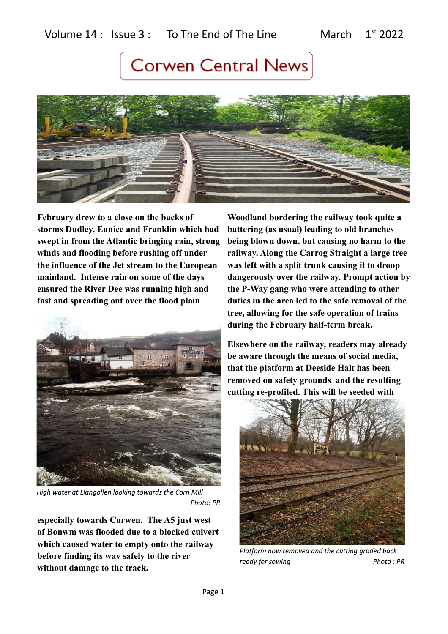

**February drew to a close on the backs of storms Dudley, Eunice and Franklin which had swept in from the Atlantic bringing rain, strong winds and flooding before rushing off under the influence of the Jet stream to the European mainland. Intense rain on some of the days ensured the River Dee was running high and fast and spreading out over the flood plain** 



*High water at Llangollen looking towards the Corn Mill Photo: PR*

**especially towards Corwen. The A5 just west of Bonwm was flooded due to a blocked culvert which caused water to empty onto the railway before finding its way safely to the river without damage to the track.** 

**Woodland bordering the railway took quite a battering (as usual) leading to old branches being blown down, but causing no harm to the railway. Along the Carrog Straight a large tree was left with a split trunk causing it to droop dangerously over the railway. Prompt action by the P-Way gang who were attending to other duties in the area led to the safe removal of the tree, allowing for the safe operation of trains during the February half-term break.**

**Elsewhere on the railway, readers may already be aware through the means of social media, that the platform at Deeside Halt has been removed on safety grounds and the resulting cutting re-profiled. This will be seeded with** 



*Platform now removed and the cutting graded back ready for sowing* Photo: PR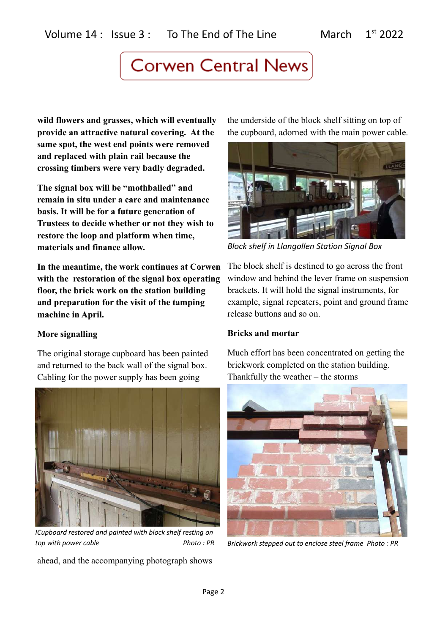**wild flowers and grasses, which will eventually provide an attractive natural covering. At the same spot, the west end points were removed and replaced with plain rail because the crossing timbers were very badly degraded.** 

**The signal box will be "mothballed" and remain in situ under a care and maintenance basis. It will be for a future generation of Trustees to decide whether or not they wish to restore the loop and platform when time, materials and finance allow.**

**In the meantime, the work continues at Corwen with the restoration of the signal box operating floor, the brick work on the station building and preparation for the visit of the tamping machine in April.**

## **More signalling**

The original storage cupboard has been painted and returned to the back wall of the signal box. Cabling for the power supply has been going



*ICupboard restored and painted with block shelf resting on top with power cable*  $\blacksquare$  Photo : PR

ahead, and the accompanying photograph shows

the underside of the block shelf sitting on top of the cupboard, adorned with the main power cable.



*Block shelf in Llangollen Station Signal Box*

The block shelf is destined to go across the front window and behind the lever frame on suspension brackets. It will hold the signal instruments, for example, signal repeaters, point and ground frame release buttons and so on.

## **Bricks and mortar**

Much effort has been concentrated on getting the brickwork completed on the station building. Thankfully the weather – the storms



*Brickwork stepped out to enclose steel frame Photo : PR*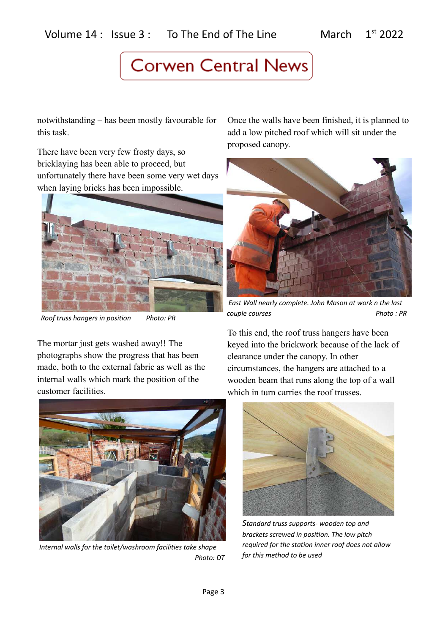notwithstanding – has been mostly favourable for this task.

There have been very few frosty days, so bricklaying has been able to proceed, but unfortunately there have been some very wet days when laying bricks has been impossible.



 *Roof truss hangers in position Photo: PR*

The mortar just gets washed away!! The photographs show the progress that has been made, both to the external fabric as well as the internal walls which mark the position of the customer facilities.



*Internal walls for the toilet/washroom facilities take shape Photo: DT*

Once the walls have been finished, it is planned to add a low pitched roof which will sit under the proposed canopy.



 *East Wall nearly complete. John Mason at work n the last couple courses* Photo : PR

To this end, the roof truss hangers have been keyed into the brickwork because of the lack of clearance under the canopy. In other circumstances, the hangers are attached to a wooden beam that runs along the top of a wall which in turn carries the roof trusses.



*Standard truss supports- wooden top and brackets screwed in position. The low pitch required for the station inner roof does not allow for this method to be used*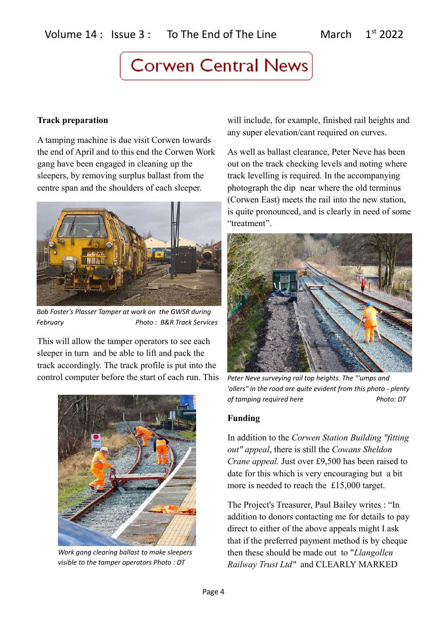## **Track preparation**

A tamping machine is due visit Corwen towards the end of April and to this end the Corwen Work gang have been engaged in cleaning up the sleepers, by removing surplus ballast from the centre span and the shoulders of each sleeper.



*Bob Foster's Plasser Tamper at work on the GWSR during February Photo : B&R Track Services*

This will allow the tamper operators to see each sleeper in turn and be able to lift and pack the track accordingly. The track profile is put into the control computer before the start of each run. This



*Work gang clearing ballast to make sleepers visible to the tamper operators Photo : DT*

will include, for example, finished rail heights and any super elevation/cant required on curves.

As well as ballast clearance, Peter Neve has been out on the track checking levels and noting where track levelling is required. In the accompanying photograph the dip near where the old terminus (Corwen East) meets the rail into the new station, is quite pronounced, and is clearly in need of some "treatment".



*Peter Neve surveying rail top heights. The "'umps and 'ollers" in the road are quite evident from this photo - plenty of tamping required here* Photo: DT

## **Funding**

In addition to the *Corwen Station Building "fitting out" appeal*, there is still the *Cowans Sheldon Crane appeal.* Just over £9,500 has been raised to date for this which is very encouraging but a bit more is needed to reach the £15,000 target.

The Project's Treasurer, Paul Bailey writes : "In addition to donors contacting me for details to pay direct to either of the above appeals might I ask that if the preferred payment method is by cheque then these should be made out to "*Llangollen Railway Trust Ltd"* and CLEARLY MARKED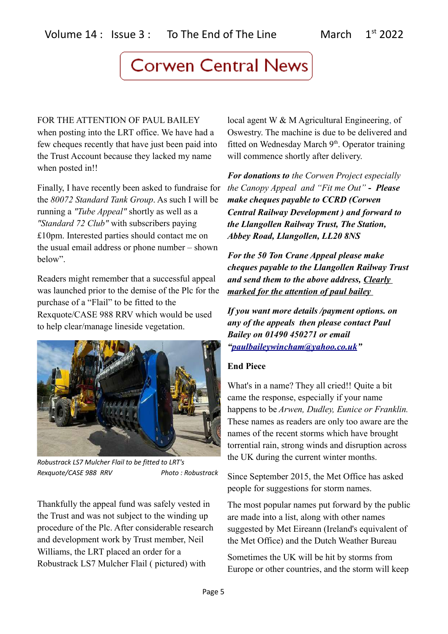FOR THE ATTENTION OF PAUL BAILEY when posting into the LRT office. We have had a few cheques recently that have just been paid into the Trust Account because they lacked my name when posted in!!

Finally, I have recently been asked to fundraise for the *80072 Standard Tank Group*. As such I will be running a *"Tube Appeal"* shortly as well as a *"Standard 72 Club"* with subscribers paying £10pm. Interested parties should contact me on the usual email address or phone number – shown below".

Readers might remember that a successful appeal was launched prior to the demise of the Plc for the purchase of a "Flail" to be fitted to the Rexquote/CASE 988 RRV which would be used to help clear/manage lineside vegetation.



*Robustrack LS7 Mulcher Flail to be fitted to LRT's Rexquote/CASE 988 RRV Photo : Robustrack*

Thankfully the appeal fund was safely vested in the Trust and was not subject to the winding up procedure of the Plc. After considerable research and development work by Trust member, Neil Williams, the LRT placed an order for a Robustrack LS7 Mulcher Flail ( pictured) with

local agent W & M Agricultural Engineering, of Oswestry. The machine is due to be delivered and fitted on Wednesday March 9<sup>th</sup>. Operator training will commence shortly after delivery.

*For donations to the Corwen Project especially the Canopy Appeal and "Fit me Out"* **-** *Please make cheques payable to CCRD (Corwen Central Railway Development ) and forward to the Llangollen Railway Trust, The Station, Abbey Road, Llangollen, LL20 8NS*

*For the 50 Ton Crane Appeal please make cheques payable to the Llangollen Railway Trust and send them to the above address, Clearly marked for the attention of paul bailey* 

*If you want more details /payment options. on any of the appeals then please contact Paul Bailey on 01490 450271 or email ["paulbaileywincham@yahoo.co.uk"](mailto:paulbaileywincham@yahoo.co.uk)*

## **End Piece**

What's in a name? They all cried!! Quite a bit came the response, especially if your name happens to be *Arwen, Dudley, Eunice or Franklin.* These names as readers are only too aware are the names of the recent storms which have brought torrential rain, strong winds and disruption across the UK during the current winter months.

Since September 2015, the Met Office has asked people for suggestions for storm names.

The most popular names put forward by the public are made into a list, along with other names suggested by Met Eireann (Ireland's equivalent of the Met Office) and the Dutch Weather Bureau

Sometimes the UK will be hit by storms from Europe or other countries, and the storm will keep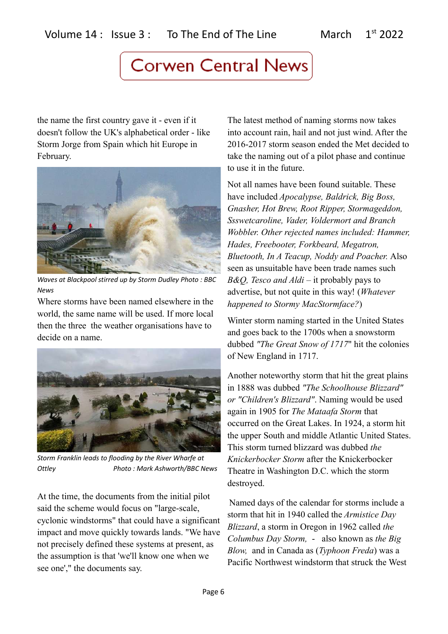the name the first country gave it - even if it doesn't follow the UK's alphabetical order - like Storm Jorge from Spain which hit Europe in February.



*Waves at Blackpool stirred up by Storm Dudley Photo : BBC News*

Where storms have been named elsewhere in the world, the same name will be used. If more local then the three the weather organisations have to decide on a name.



*Storm Franklin leads to flooding by the River Wharfe at Ottley Photo : Mark Ashworth/BBC News*

At the time, the documents from the initial pilot said the scheme would focus on "large-scale, cyclonic windstorms" that could have a significant impact and move quickly towards lands. "We have not precisely defined these systems at present, as the assumption is that 'we'll know one when we see one'," the documents say.

The latest method of naming storms now takes into account rain, hail and not just wind. After the 2016-2017 storm season ended the Met decided to take the naming out of a pilot phase and continue to use it in the future.

Not all names have been found suitable. These have included *Apocalypse, Baldrick, Big Boss, Gnasher, Hot Brew, Root Ripper, Stormageddon, Ssswetcaroline, Vader, Voldermort and Branch Wobbler. Other rejected names included: Hammer, Hades, Freebooter, Forkbeard, Megatron, Bluetooth, In A Teacup, Noddy and Poacher.* Also seen as unsuitable have been trade names such *B&O, Tesco and Aldi* – it probably pays to advertise, but not quite in this way! (*Whatever happened to Stormy MacStormface?*)

Winter storm naming started in the United States and goes back to the 1700s when a snowstorm dubbed *"The Great Snow of 1717*" hit the colonies of New England in 1717.

Another noteworthy storm that hit the great plains in 1888 was dubbed *"The Schoolhouse Blizzard" or "Children's Blizzard"*. Naming would be used again in 1905 for *The Mataafa Storm* that occurred on the Great Lakes. In 1924, a storm hit the upper South and middle Atlantic United States. This storm turned blizzard was dubbed *the Knickerbocker Storm* after the Knickerbocker Theatre in Washington D.C. which the storm destroyed.

Named days of the calendar for storms include a storm that hit in 1940 called the *Armistice Day Blizzard*, a storm in Oregon in 1962 called *the Columbus Day Storm,* - also known as *the Big Blow,* and in Canada as (*Typhoon Freda*) was a Pacific Northwest windstorm that struck the West